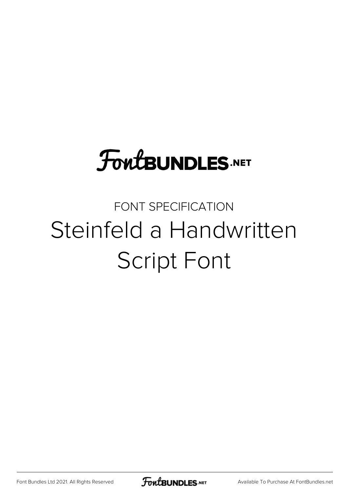## **FoutBUNDLES.NET**

## FONT SPECIFICATION Steinfeld a Handwritten Script Font

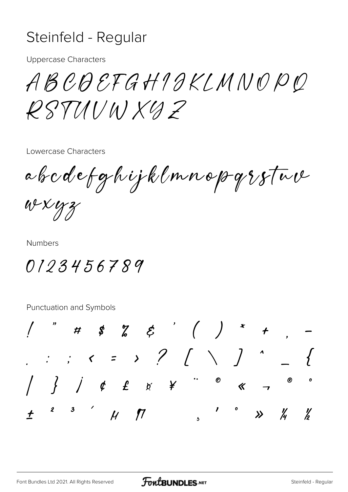## Steinfeld - Regular

**Uppercase Characters** 

ABCDEFGHIGKLMNOPQ  $RSTMINXYZ$ 

Lowercase Characters

abcdefghijklmnopgsfue

wxyz

**Numbers** 

0123456789

Punctuation and Symbols

 $\begin{array}{cccccccccccccc} & & & & & & & \end{array}$  $\bm{\varnothing}$  $\ll$ 2 3  $/$   $/$   $/$   $/$  $\frac{1}{2}$  $\frac{1}{4}$  $\frac{\nu}{b}$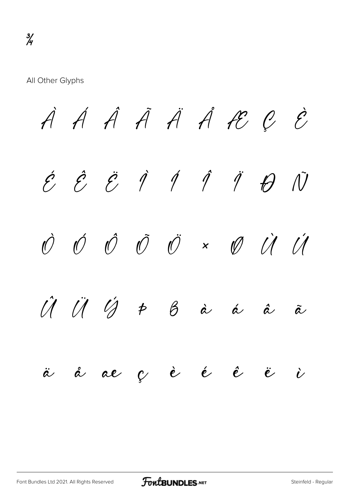All Other Glyphs

À Á Â Ã Ä Å Æ Ç È  $\acute{e}$   $\acute{e}$   $\acute{e}$   $\acute{q}$   $\acute{q}$   $\acute{q}$   $\acute{q}$   $\acute{q}$   $\acute{q}$   $\acute{q}$ Ò Ó Ô Õ Ö × Ø Ù Ú  $\hat{U}$   $\hat{U}$   $\hat{V}$   $\hat{P}$   $\hat{B}$  à à á  $\hat{a}$   $\hat{a}$ ä å æ ç è é ê ë ì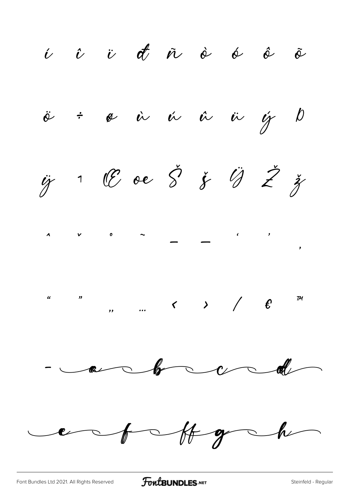i î v đñ à ó ô õ  $\ddot{\theta}$ ÷ ø ir ir ir ig  $\overline{p}$  $\ddot{y}$  1 ll oe  $\ddot{S}$   $\ddot{y}$   $\ddot{U}$   $\ddot{Z}$   $\ddot{y}$  $\mathcal{V}$  0  $\lambda$  $\begin{array}{ccccccc}\n\mu & & & n & & & \\
\mu & & & n & & \\
\end{array}$  $\overline{\phantom{a}}$  $\overline{\phantom{a}}$ ent Hgch

FontBUNDLES.NET